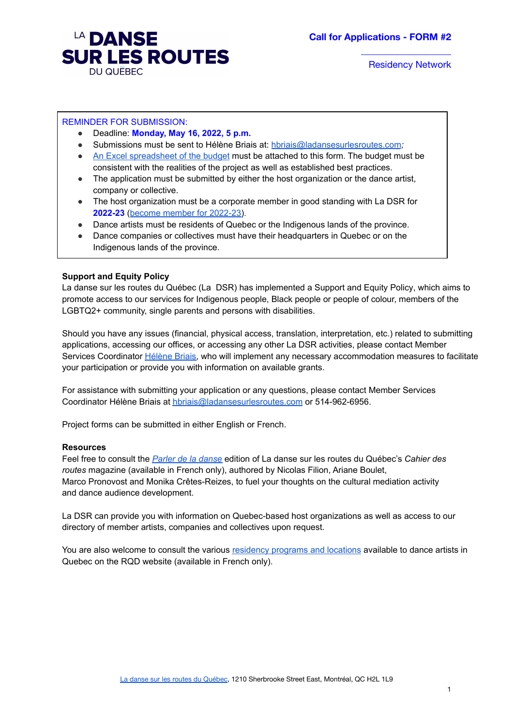

### REMINDER FOR SUBMISSION:

- Deadline: **Monday, May 16, 2022, 5 p.m.**
- Submissions must be sent to Hélène Briais at: [hbriais@ladansesurlesroutes.com](mailto:hbriais@ladansesurlesroutes.com)*;*
- An Excel [spreadsheet](https://ladansesurlesroutes.com/wp-content/uploads/2022/04/Call-for-Applications_Residency-Network_Budget_May-16-2022.xlsx) of the budget must be attached to this form. The budget must be consistent with the realities of the project as well as established best practices.
- The application must be submitted by either the host organization or the dance artist. company or collective.
- The host organization must be a corporate member in good standing with La DSR for **2022-23** (become member for [2022-23\)](https://airtable.com/shr6tPBai4GguFK2a).
- Dance artists must be residents of Quebec or the Indigenous lands of the province.
- Dance companies or collectives must have their headquarters in Quebec or on the Indigenous lands of the province.

#### **Support and Equity Policy**

La danse sur les routes du Québec (La DSR) has implemented a [Support](https://ladansesurlesroutes.com/a-propos/politique-daide-et-dequite/) and Equity Policy, which aims to promote access to our services for Indigenous people, Black people or people of colour, members of the LGBTQ2+ community, single parents and persons with disabilities.

Should you have any issues (financial, physical access, translation, interpretation, etc.) related to submitting applications, accessing our offices, or accessing any other La DSR activities, please contact Member Services Coordinator [Hélène](mailto:hbriais@ladansesurlesroutes.com) Briais, who will implement any necessary accommodation measures to facilitate your participation or provide you with information on available grants.

For assistance with submitting your application or any questions, please contact Member Services Coordinator Hélène Briais at [hbriais@ladansesurlesroutes.com](mailto:hbriais@ladansesurlesroutes.com) or 514-962-6956.

Project forms can be submitted in either English or French.

#### **Resources**

Feel free to consult the *Parler de la [danse](https://ladansesurlesroutes.com/wp-content/uploads/2020/11/Cahier_des_routes_vol_5_Parler_de_la_danse_2020_WEB.pdf)* edition of La danse sur les routes du Québec's *Cahier des routes* magazine (available in French only), authored by Nicolas Filion, Ariane Boulet, Marco Pronovost and Monika Crêtes-Reizes, to fuel your thoughts on the cultural mediation activity and dance audience development.

La DSR can provide you with information on Quebec-based host organizations as well as access to our directory of member artists, companies and collectives upon request.

You are also welcome to consult the various [residency](https://www.quebecdanse.org/ressources/bottins/repertoire-des-lieux-et-programmes-de-residence-artistique/) programs and locations available to dance artists in Quebec on the RQD website (available in French only).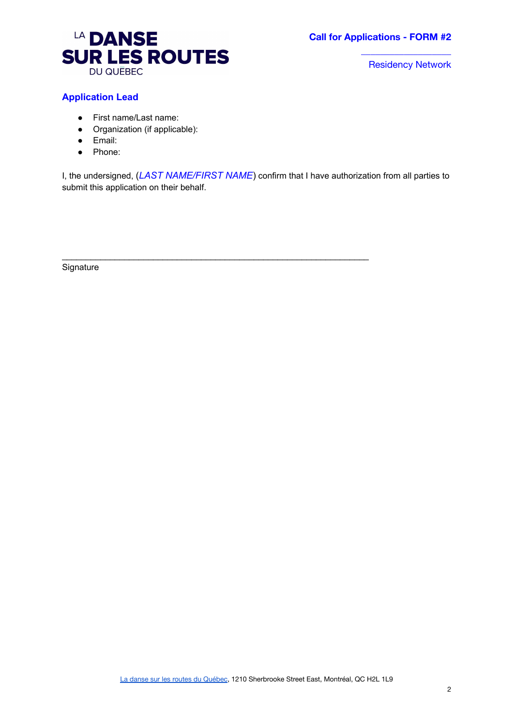

# **Application Lead**

- First name/Last name:
- Organization (if applicable):
- Email:
- Phone:

I, the undersigned, (*LAST NAME/FIRST NAME*) confirm that I have authorization from all parties to submit this application on their behalf.

 $\mathcal{L}_\mathcal{L}$  , and the contribution of the contribution of the contribution of the contribution of the contribution of the contribution of the contribution of the contribution of the contribution of the contribution of

**Signature**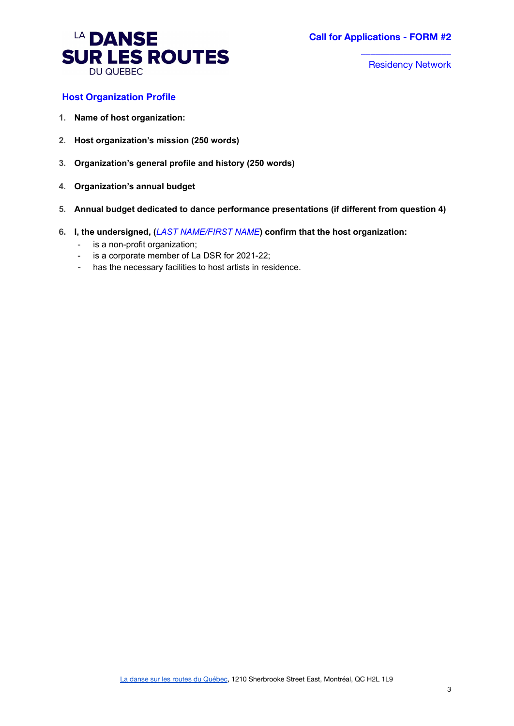

## **Host Organization Profile**

- **1. Name of host organization:**
- **2. Host organization's mission (250 words)**
- **3. Organization's general profile and history (250 words)**
- **4. Organization's annual budget**
- **5. Annual budget dedicated to dance performance presentations (if different from question 4)**
- **6. I, the undersigned, (***LAST NAME/FIRST NAME***) confirm that the host organization:**
	- is a non-profit organization;
	- is a corporate member of La DSR for 2021-22;
	- has the necessary facilities to host artists in residence.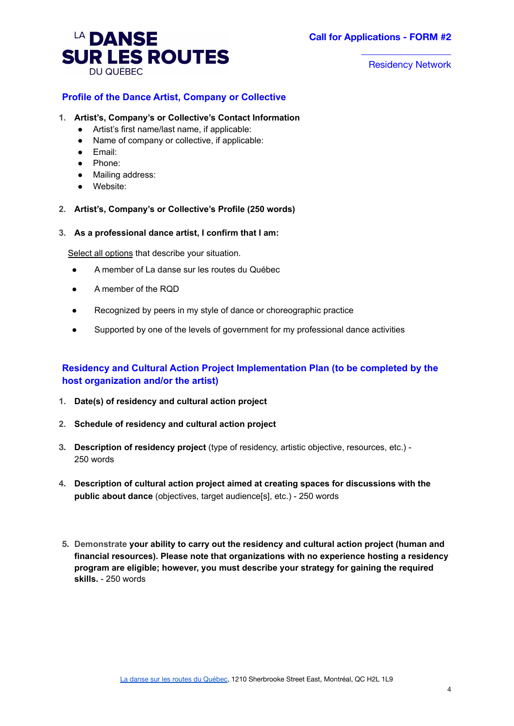

## **Profile of the Dance Artist, Company or Collective**

- **1. Artist's, Company's or Collective's Contact Information**
	- Artist's first name/last name, if applicable:
	- Name of company or collective, if applicable:
	- Email:
	- Phone:
	- Mailing address:
	- Website:
- **2. Artist's, Company's or Collective's Profile (250 words)**
- **3. As a professional dance artist, I confirm that I am:**

Select all options that describe your situation.

- A member of La danse sur les routes du Québec
- A member of the RQD
- Recognized by peers in my style of dance or choreographic practice
- Supported by one of the levels of government for my professional dance activities

# **Residency and Cultural Action Project Implementation Plan (to be completed by the host organization and/or the artist)**

- **1. Date(s) of residency and cultural action project**
- **2. Schedule of residency and cultural action project**
- **3. Description of residency project** (type of residency, artistic objective, resources, etc.) 250 words
- **4. Description of cultural action project aimed at creating spaces for discussions with the public about dance** (objectives, target audience[s], etc.) - 250 words
- **5. Demonstrate your ability to carry out the residency and cultural action project (human and financial resources). Please note that organizations with no experience hosting a residency program are eligible; however, you must describe your strategy for gaining the required skills.** - 250 words